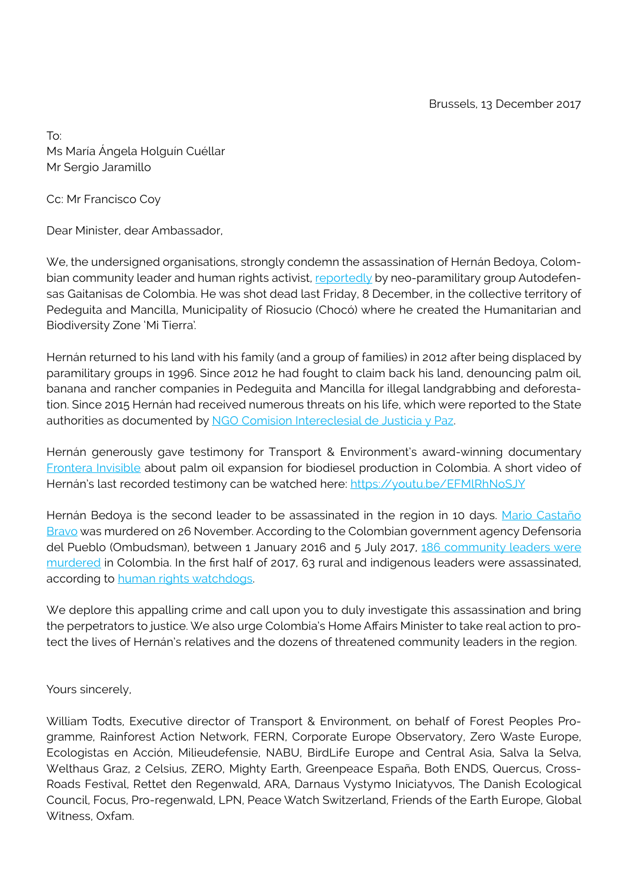To: Ms María Ángela Holguín Cuéllar Mr Sergio Jaramillo

Cc: Mr Francisco Coy

Dear Minister, dear Ambassador,

We, the undersigned organisations, strongly condemn the assassination of Hernán Bedoya, Colombian community leader and human rights activist, [reportedly](https://www.elespectador.com/noticias/nacional/denuncian-asesinato-de-lider-reclamante-de-tierras-en-choco-articulo-727446) by neo-paramilitary group Autodefensas Gaitanisas de Colombia. He was shot dead last Friday, 8 December, in the collective territory of Pedeguita and Mancilla, Municipality of Riosucio (Chocó) where he created the Humanitarian and Biodiversity Zone 'Mi Tierra'.

Hernán returned to his land with his family (and a group of families) in 2012 after being displaced by paramilitary groups in 1996. Since 2012 he had fought to claim back his land, denouncing palm oil, banana and rancher companies in Pedeguita and Mancilla for illegal landgrabbing and deforestation. Since 2015 Hernán had received numerous threats on his life, which were reported to the State authorities as documented by [NGO Comision Intereclesial de Justicia y Paz](https://www.justiciaypazcolombia.com/asesinado-lider-hernan-bedoya/).

Hernán generously gave testimony for Transport & Environment's award-winning documentary [Frontera Invisible](http://www.fronterainvisible.com/) about palm oil expansion for biodiesel production in Colombia. A short video of Hernán's last recorded testimony can be watched here: https://youtu.be/EFMIRhNoSJY

Hernán Bedoya is the second leader to be assassinated in the region in 10 days. [Mario Castaño](https://www.justiciaypazcolombia.com/organizaciones-internacionales-de-la-sociedad-civil-repudian-el-asesinato-del-lider-comunitario-y-reclamante-de-tierras-mario-castano-bravo/) [Bravo](https://www.justiciaypazcolombia.com/organizaciones-internacionales-de-la-sociedad-civil-repudian-el-asesinato-del-lider-comunitario-y-reclamante-de-tierras-mario-castano-bravo/) was murdered on 26 November. According to the Colombian government agency Defensoria del Pueblo (Ombudsman), between 1 January 2016 and 5 July 2017, [186 community leaders were](http://www.defensoria.gov.co/es/nube/noticias/6468/En-Barrancabermeja-persisten-las-amenazas-a-l%C3%ADderes-sociales;-en-todo-el-pa%C3%ADs-van-186-asesinados-seg%C3%BAn-las-cifras-de-la-Defensor%C3%ADa-Autodefensas-Gaitanistas-de-Colombia-Defensor%C3%ADa-del-Pueblo-Barrancabermeja-l%C3%ADderes-sociales.htm) [murdered](http://www.defensoria.gov.co/es/nube/noticias/6468/En-Barrancabermeja-persisten-las-amenazas-a-l%C3%ADderes-sociales;-en-todo-el-pa%C3%ADs-van-186-asesinados-seg%C3%BAn-las-cifras-de-la-Defensor%C3%ADa-Autodefensas-Gaitanistas-de-Colombia-Defensor%C3%ADa-del-Pueblo-Barrancabermeja-l%C3%ADderes-sociales.htm) in Colombia. In the first half of 2017, 63 rural and indigenous leaders were assassinated, according to [human rights watchdogs.](http://www.france24.com/es/20171024-asesinato-lideres-sociales-en-colombia)

We deplore this appalling crime and call upon you to duly investigate this assassination and bring the perpetrators to justice. We also urge Colombia's Home Affairs Minister to take real action to protect the lives of Hernán's relatives and the dozens of threatened community leaders in the region.

Yours sincerely,

William Todts, Executive director of Transport & Environment, on behalf of Forest Peoples Programme, Rainforest Action Network, FERN, Corporate Europe Observatory, Zero Waste Europe, Ecologistas en Acción, Milieudefensie, NABU, BirdLife Europe and Central Asia, Salva la Selva, Welthaus Graz, 2 Celsius, ZERO, Mighty Earth, Greenpeace España, Both ENDS, Quercus, Cross-Roads Festival, Rettet den Regenwald, ARA, Darnaus Vystymo Iniciatyvos, The Danish Ecological Council, Focus, Pro-regenwald, LPN, Peace Watch Switzerland, Friends of the Earth Europe, Global Witness, Oxfam.